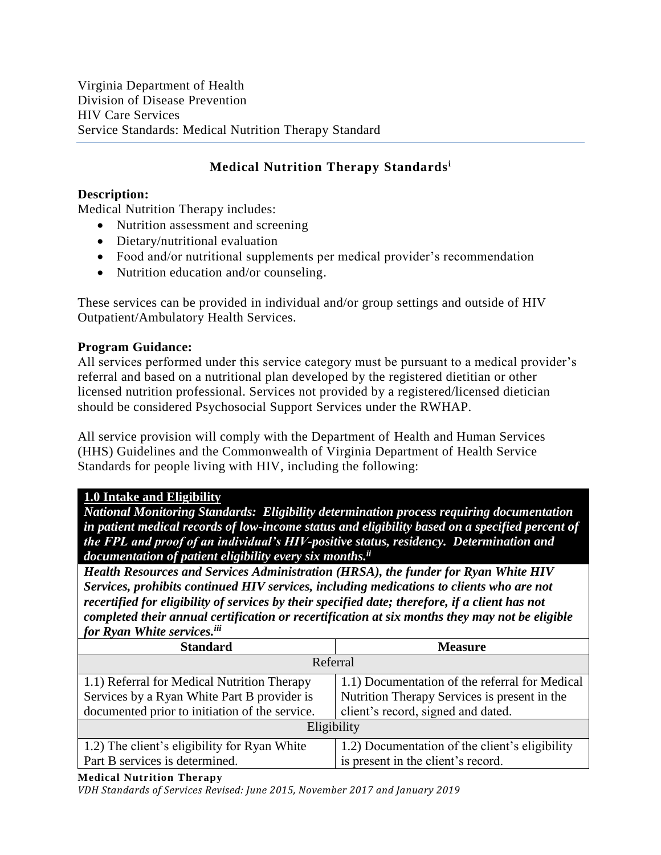# **Medical Nutrition Therapy Standards<sup>i</sup>**

# **Description:**

Medical Nutrition Therapy includes:

- Nutrition assessment and screening
- Dietary/nutritional evaluation
- Food and/or nutritional supplements per medical provider's recommendation
- Nutrition education and/or counseling.

These services can be provided in individual and/or group settings and outside of HIV Outpatient/Ambulatory Health Services.

# **Program Guidance:**

All services performed under this service category must be pursuant to a medical provider's referral and based on a nutritional plan developed by the registered dietitian or other licensed nutrition professional. Services not provided by a registered/licensed dietician should be considered Psychosocial Support Services under the RWHAP.

All service provision will comply with the Department of Health and Human Services (HHS) Guidelines and the Commonwealth of Virginia Department of Health Service Standards for people living with HIV, including the following:

## **1.0 Intake and Eligibility**

*National Monitoring Standards: Eligibility determination process requiring documentation in patient medical records of low-income status and eligibility based on a specified percent of the FPL and proof of an individual's HIV-positive status, residency. Determination and documentation of patient eligibility every six months. ii*

*Health Resources and Services Administration (HRSA), the funder for Ryan White HIV Services, prohibits continued HIV services, including medications to clients who are not recertified for eligibility of services by their specified date; therefore, if a client has not completed their annual certification or recertification at six months they may not be eligible for Ryan White services.iii*

| <b>Standard</b>                                | <b>Measure</b>                                 |  |
|------------------------------------------------|------------------------------------------------|--|
| Referral                                       |                                                |  |
| 1.1) Referral for Medical Nutrition Therapy    | 1.1) Documentation of the referral for Medical |  |
| Services by a Ryan White Part B provider is    | Nutrition Therapy Services is present in the   |  |
| documented prior to initiation of the service. | client's record, signed and dated.             |  |
| Eligibility                                    |                                                |  |
| 1.2) The client's eligibility for Ryan White   | 1.2) Documentation of the client's eligibility |  |
| Part B services is determined.                 | is present in the client's record.             |  |

**Medical Nutrition Therapy**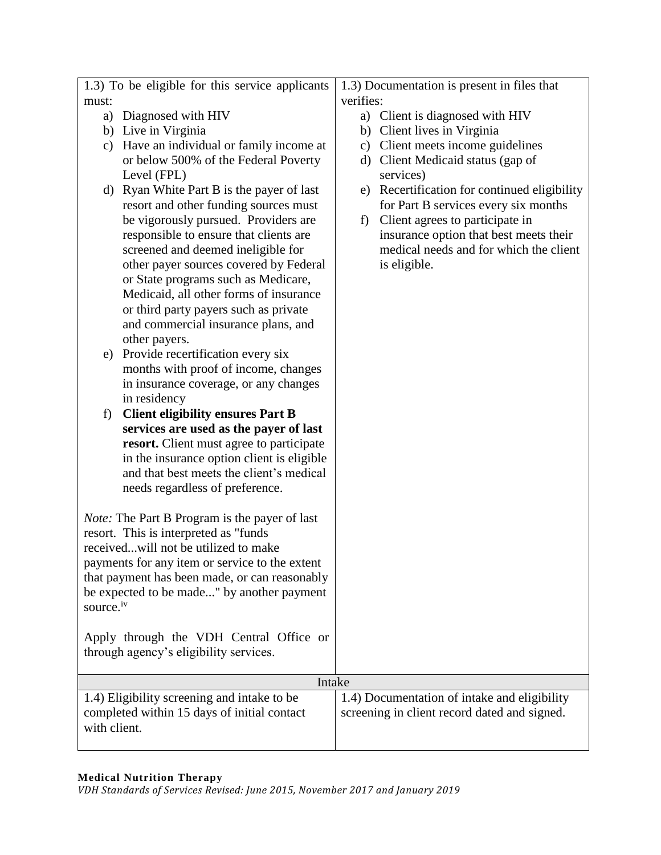| 1.3) To be eligible for this service applicants      |  |           | 1.3) Documentation is present in files that  |
|------------------------------------------------------|--|-----------|----------------------------------------------|
| must:                                                |  | verifies: |                                              |
| a) Diagnosed with HIV                                |  |           | a) Client is diagnosed with HIV              |
| b) Live in Virginia                                  |  |           | b) Client lives in Virginia                  |
| c) Have an individual or family income at            |  | c)        | Client meets income guidelines               |
| or below 500% of the Federal Poverty                 |  | $\rm d)$  | Client Medicaid status (gap of               |
| Level (FPL)                                          |  |           | services)                                    |
| d) Ryan White Part B is the payer of last            |  | e)        | Recertification for continued eligibility    |
| resort and other funding sources must                |  |           | for Part B services every six months         |
| be vigorously pursued. Providers are                 |  | f         | Client agrees to participate in              |
| responsible to ensure that clients are               |  |           | insurance option that best meets their       |
| screened and deemed ineligible for                   |  |           | medical needs and for which the client       |
| other payer sources covered by Federal               |  |           | is eligible.                                 |
| or State programs such as Medicare,                  |  |           |                                              |
| Medicaid, all other forms of insurance               |  |           |                                              |
| or third party payers such as private                |  |           |                                              |
| and commercial insurance plans, and                  |  |           |                                              |
| other payers.                                        |  |           |                                              |
| Provide recertification every six<br>e)              |  |           |                                              |
| months with proof of income, changes                 |  |           |                                              |
| in insurance coverage, or any changes                |  |           |                                              |
| in residency                                         |  |           |                                              |
| <b>Client eligibility ensures Part B</b><br>f)       |  |           |                                              |
| services are used as the payer of last               |  |           |                                              |
| resort. Client must agree to participate             |  |           |                                              |
| in the insurance option client is eligible           |  |           |                                              |
| and that best meets the client's medical             |  |           |                                              |
| needs regardless of preference.                      |  |           |                                              |
|                                                      |  |           |                                              |
| <i>Note:</i> The Part B Program is the payer of last |  |           |                                              |
| resort. This is interpreted as "funds"               |  |           |                                              |
| receivedwill not be utilized to make                 |  |           |                                              |
| payments for any item or service to the extent       |  |           |                                              |
| that payment has been made, or can reasonably        |  |           |                                              |
| be expected to be made" by another payment           |  |           |                                              |
| source. <sup>iv</sup>                                |  |           |                                              |
|                                                      |  |           |                                              |
| Apply through the VDH Central Office or              |  |           |                                              |
| through agency's eligibility services.               |  |           |                                              |
| Intake                                               |  |           |                                              |
| 1.4) Eligibility screening and intake to be          |  |           | 1.4) Documentation of intake and eligibility |
| completed within 15 days of initial contact          |  |           | screening in client record dated and signed. |
| with client.                                         |  |           |                                              |
|                                                      |  |           |                                              |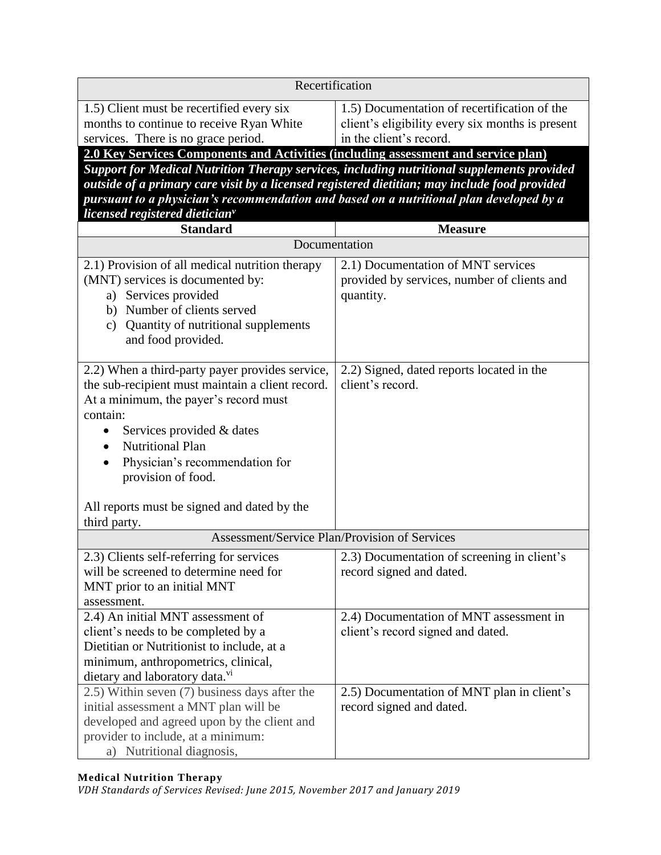| Recertification                                                                                                                                                                                                                                                          |                                                                                                                             |  |
|--------------------------------------------------------------------------------------------------------------------------------------------------------------------------------------------------------------------------------------------------------------------------|-----------------------------------------------------------------------------------------------------------------------------|--|
| 1.5) Client must be recertified every six<br>months to continue to receive Ryan White<br>services. There is no grace period.                                                                                                                                             | 1.5) Documentation of recertification of the<br>client's eligibility every six months is present<br>in the client's record. |  |
| 2.0 Key Services Components and Activities (including assessment and service plan)                                                                                                                                                                                       |                                                                                                                             |  |
| Support for Medical Nutrition Therapy services, including nutritional supplements provided                                                                                                                                                                               |                                                                                                                             |  |
| outside of a primary care visit by a licensed registered dietitian; may include food provided                                                                                                                                                                            |                                                                                                                             |  |
| pursuant to a physician's recommendation and based on a nutritional plan developed by a                                                                                                                                                                                  |                                                                                                                             |  |
| licensed registered dietician <sup>v</sup><br><b>Standard</b>                                                                                                                                                                                                            | <b>Measure</b>                                                                                                              |  |
| Documentation                                                                                                                                                                                                                                                            |                                                                                                                             |  |
| 2.1) Provision of all medical nutrition therapy                                                                                                                                                                                                                          | 2.1) Documentation of MNT services                                                                                          |  |
| (MNT) services is documented by:<br>a) Services provided<br>b) Number of clients served<br>Quantity of nutritional supplements<br>c)<br>and food provided.                                                                                                               | provided by services, number of clients and<br>quantity.                                                                    |  |
| 2.2) When a third-party payer provides service,<br>the sub-recipient must maintain a client record.<br>At a minimum, the payer's record must<br>contain:<br>Services provided & dates<br><b>Nutritional Plan</b><br>Physician's recommendation for<br>provision of food. | 2.2) Signed, dated reports located in the<br>client's record.                                                               |  |
| All reports must be signed and dated by the                                                                                                                                                                                                                              |                                                                                                                             |  |
| third party.                                                                                                                                                                                                                                                             |                                                                                                                             |  |
| Assessment/Service Plan/Provision of Services                                                                                                                                                                                                                            |                                                                                                                             |  |
| 2.3) Clients self-referring for services<br>will be screened to determine need for<br>MNT prior to an initial MNT<br>assessment.                                                                                                                                         | 2.3) Documentation of screening in client's<br>record signed and dated.                                                     |  |
| 2.4) An initial MNT assessment of                                                                                                                                                                                                                                        | 2.4) Documentation of MNT assessment in                                                                                     |  |
| client's needs to be completed by a                                                                                                                                                                                                                                      | client's record signed and dated.                                                                                           |  |
| Dietitian or Nutritionist to include, at a                                                                                                                                                                                                                               |                                                                                                                             |  |
| minimum, anthropometrics, clinical,                                                                                                                                                                                                                                      |                                                                                                                             |  |
| dietary and laboratory data. <sup>v1</sup>                                                                                                                                                                                                                               |                                                                                                                             |  |
| 2.5) Within seven (7) business days after the<br>initial assessment a MNT plan will be<br>developed and agreed upon by the client and<br>provider to include, at a minimum:<br>a) Nutritional diagnosis,                                                                 | 2.5) Documentation of MNT plan in client's<br>record signed and dated.                                                      |  |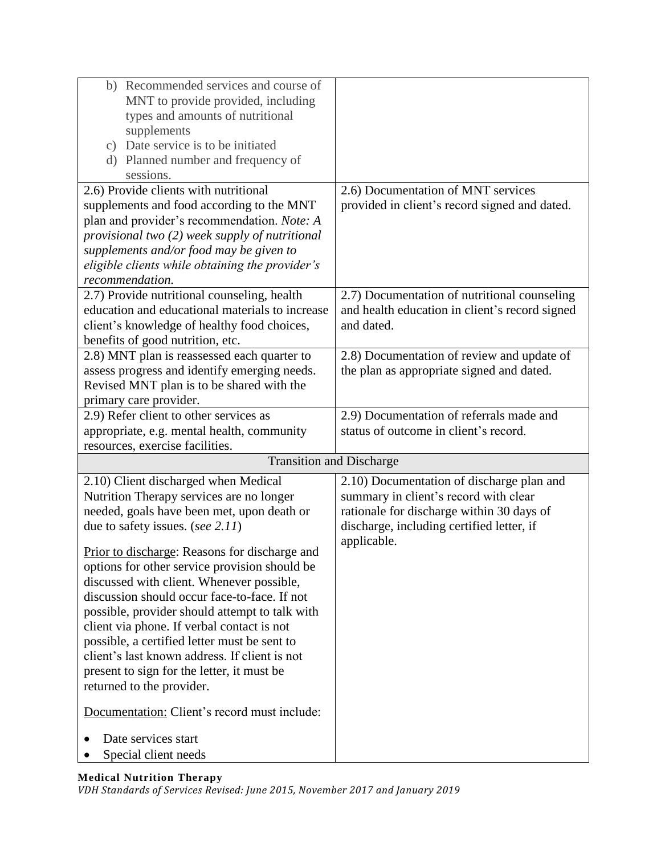| b) Recommended services and course of<br>MNT to provide provided, including                |                                                |
|--------------------------------------------------------------------------------------------|------------------------------------------------|
| types and amounts of nutritional                                                           |                                                |
| supplements<br>c) Date service is to be initiated                                          |                                                |
| d) Planned number and frequency of                                                         |                                                |
| sessions.                                                                                  |                                                |
| 2.6) Provide clients with nutritional                                                      | 2.6) Documentation of MNT services             |
| supplements and food according to the MNT                                                  | provided in client's record signed and dated.  |
| plan and provider's recommendation. Note: A                                                |                                                |
| provisional two (2) week supply of nutritional                                             |                                                |
| supplements and/or food may be given to                                                    |                                                |
| eligible clients while obtaining the provider's                                            |                                                |
| recommendation.                                                                            |                                                |
| 2.7) Provide nutritional counseling, health                                                | 2.7) Documentation of nutritional counseling   |
| education and educational materials to increase                                            | and health education in client's record signed |
| client's knowledge of healthy food choices,                                                | and dated.                                     |
| benefits of good nutrition, etc.                                                           |                                                |
| 2.8) MNT plan is reassessed each quarter to                                                | 2.8) Documentation of review and update of     |
| assess progress and identify emerging needs.                                               | the plan as appropriate signed and dated.      |
| Revised MNT plan is to be shared with the                                                  |                                                |
| primary care provider.                                                                     |                                                |
| 2.9) Refer client to other services as                                                     | 2.9) Documentation of referrals made and       |
| appropriate, e.g. mental health, community                                                 | status of outcome in client's record.          |
| resources, exercise facilities.                                                            |                                                |
| <b>Transition and Discharge</b>                                                            |                                                |
| 2.10) Client discharged when Medical                                                       | 2.10) Documentation of discharge plan and      |
| Nutrition Therapy services are no longer                                                   | summary in client's record with clear          |
| needed, goals have been met, upon death or                                                 | rationale for discharge within 30 days of      |
| due to safety issues. (see 2.11)                                                           | discharge, including certified letter, if      |
|                                                                                            | applicable.                                    |
| Prior to discharge: Reasons for discharge and                                              |                                                |
| options for other service provision should be<br>discussed with client. Whenever possible, |                                                |
| discussion should occur face-to-face. If not                                               |                                                |
| possible, provider should attempt to talk with                                             |                                                |
| client via phone. If verbal contact is not                                                 |                                                |
| possible, a certified letter must be sent to                                               |                                                |
| client's last known address. If client is not                                              |                                                |
| present to sign for the letter, it must be                                                 |                                                |
| returned to the provider.                                                                  |                                                |
| Documentation: Client's record must include:                                               |                                                |
|                                                                                            |                                                |
| Date services start                                                                        |                                                |
| Special client needs                                                                       |                                                |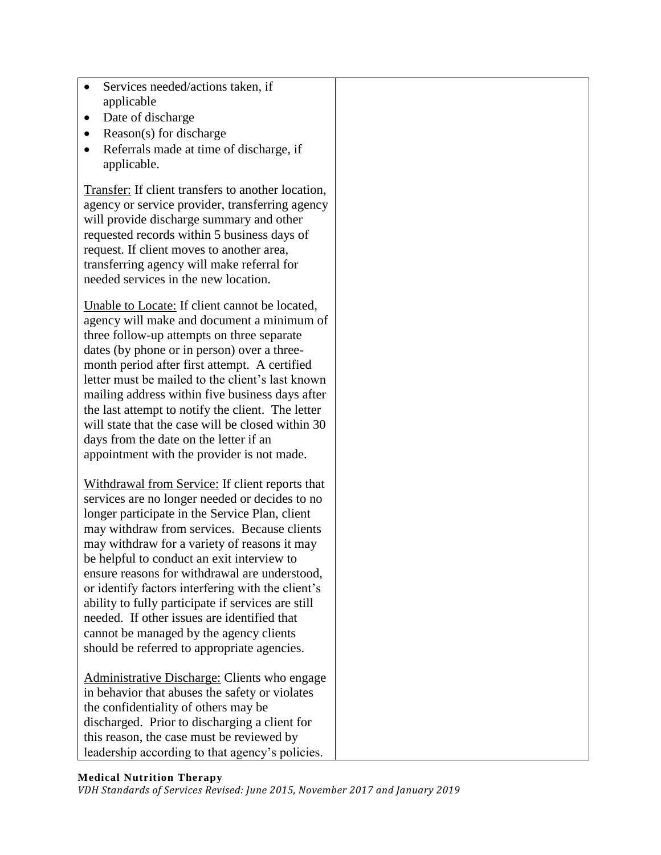- Services needed/actions taken, if applicable
- Date of discharge
- Reason(s) for discharge
- Referrals made at time of discharge, if applicable.

Transfer: If client transfers to another location, agency or service provider, transferring agency will provide discharge summary and other requested records within 5 business days of request. If client moves to another area, transferring agency will make referral for needed services in the new location.

Unable to Locate: If client cannot be located, agency will make and document a minimum of three follow-up attempts on three separate dates (by phone or in person) over a threemonth period after first attempt. A certified letter must be mailed to the client's last known mailing address within five business days after the last attempt to notify the client. The letter will state that the case will be closed within 30 days from the date on the letter if an appointment with the provider is not made.

Withdrawal from Service: If client reports that services are no longer needed or decides to no longer participate in the Service Plan, client may withdraw from services. Because clients may withdraw for a variety of reasons it may be helpful to conduct an exit interview to ensure reasons for withdrawal are understood, or identify factors interfering with the client's ability to fully participate if services are still needed. If other issues are identified that cannot be managed by the agency clients should be referred to appropriate agencies.

Administrative Discharge: Clients who engage in behavior that abuses the safety or violates the confidentiality of others may be discharged. Prior to discharging a client for this reason, the case must be reviewed by leadership according to that agency's policies.

#### **Medical Nutrition Therapy**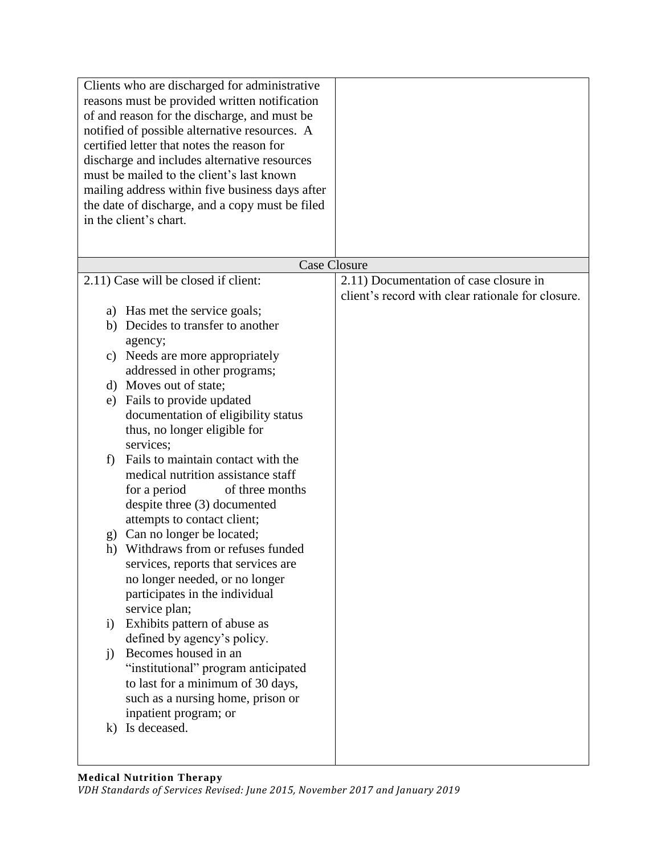|              | Clients who are discharged for administrative<br>reasons must be provided written notification<br>of and reason for the discharge, and must be<br>notified of possible alternative resources. A<br>certified letter that notes the reason for<br>discharge and includes alternative resources<br>must be mailed to the client's last known |                                                   |
|--------------|--------------------------------------------------------------------------------------------------------------------------------------------------------------------------------------------------------------------------------------------------------------------------------------------------------------------------------------------|---------------------------------------------------|
|              | mailing address within five business days after                                                                                                                                                                                                                                                                                            |                                                   |
|              | the date of discharge, and a copy must be filed                                                                                                                                                                                                                                                                                            |                                                   |
|              | in the client's chart.                                                                                                                                                                                                                                                                                                                     |                                                   |
|              |                                                                                                                                                                                                                                                                                                                                            |                                                   |
|              | <b>Case Closure</b>                                                                                                                                                                                                                                                                                                                        |                                                   |
|              | 2.11) Case will be closed if client:                                                                                                                                                                                                                                                                                                       | 2.11) Documentation of case closure in            |
|              |                                                                                                                                                                                                                                                                                                                                            | client's record with clear rationale for closure. |
|              | a) Has met the service goals;                                                                                                                                                                                                                                                                                                              |                                                   |
|              | b) Decides to transfer to another                                                                                                                                                                                                                                                                                                          |                                                   |
|              | agency;                                                                                                                                                                                                                                                                                                                                    |                                                   |
| C)           | Needs are more appropriately                                                                                                                                                                                                                                                                                                               |                                                   |
|              | addressed in other programs;                                                                                                                                                                                                                                                                                                               |                                                   |
|              | d) Moves out of state;                                                                                                                                                                                                                                                                                                                     |                                                   |
|              | e) Fails to provide updated                                                                                                                                                                                                                                                                                                                |                                                   |
|              | documentation of eligibility status                                                                                                                                                                                                                                                                                                        |                                                   |
|              | thus, no longer eligible for                                                                                                                                                                                                                                                                                                               |                                                   |
| f)           | services;<br>Fails to maintain contact with the                                                                                                                                                                                                                                                                                            |                                                   |
|              | medical nutrition assistance staff                                                                                                                                                                                                                                                                                                         |                                                   |
|              | for a period<br>of three months                                                                                                                                                                                                                                                                                                            |                                                   |
|              | despite three (3) documented                                                                                                                                                                                                                                                                                                               |                                                   |
|              | attempts to contact client;                                                                                                                                                                                                                                                                                                                |                                                   |
|              | g) Can no longer be located;                                                                                                                                                                                                                                                                                                               |                                                   |
| h)           | Withdraws from or refuses funded                                                                                                                                                                                                                                                                                                           |                                                   |
|              | services, reports that services are                                                                                                                                                                                                                                                                                                        |                                                   |
|              | no longer needed, or no longer                                                                                                                                                                                                                                                                                                             |                                                   |
|              | participates in the individual                                                                                                                                                                                                                                                                                                             |                                                   |
|              | service plan;                                                                                                                                                                                                                                                                                                                              |                                                   |
| $\mathbf{i}$ | Exhibits pattern of abuse as                                                                                                                                                                                                                                                                                                               |                                                   |
|              | defined by agency's policy.                                                                                                                                                                                                                                                                                                                |                                                   |
| $\mathbf{j}$ | Becomes housed in an                                                                                                                                                                                                                                                                                                                       |                                                   |
|              | "institutional" program anticipated                                                                                                                                                                                                                                                                                                        |                                                   |
|              | to last for a minimum of 30 days,                                                                                                                                                                                                                                                                                                          |                                                   |
|              | such as a nursing home, prison or<br>inpatient program; or                                                                                                                                                                                                                                                                                 |                                                   |
|              | k) Is deceased.                                                                                                                                                                                                                                                                                                                            |                                                   |
|              |                                                                                                                                                                                                                                                                                                                                            |                                                   |
|              |                                                                                                                                                                                                                                                                                                                                            |                                                   |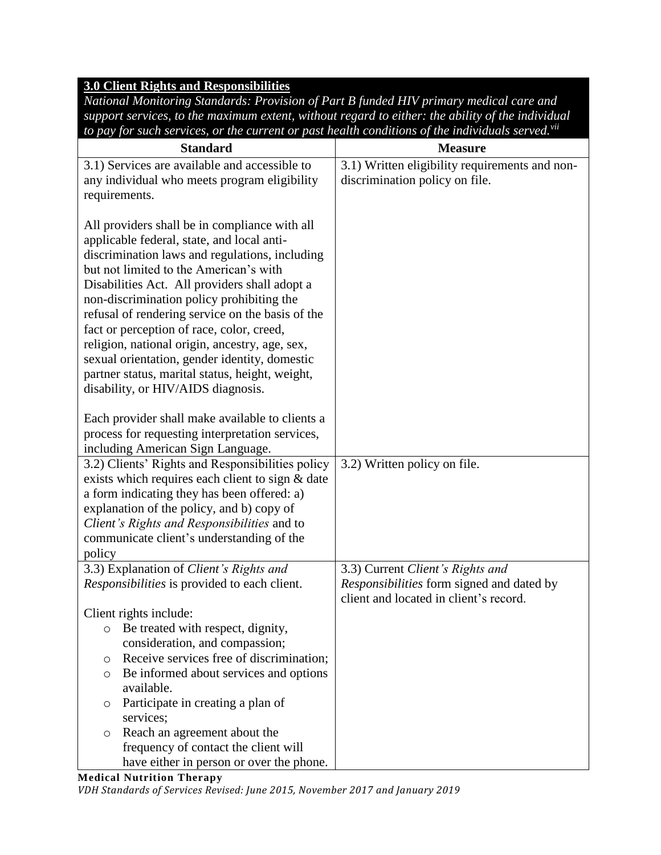# **3.0 Client Rights and Responsibilities**

*National Monitoring Standards: Provision of Part B funded HIV primary medical care and support services, to the maximum extent, without regard to either: the ability of the individual to pay for such services, or the current or past health conditions of the individuals served.vii*

| <b>Standard</b>                                     | <b>Measure</b>                                 |
|-----------------------------------------------------|------------------------------------------------|
| 3.1) Services are available and accessible to       | 3.1) Written eligibility requirements and non- |
| any individual who meets program eligibility        | discrimination policy on file.                 |
| requirements.                                       |                                                |
|                                                     |                                                |
| All providers shall be in compliance with all       |                                                |
| applicable federal, state, and local anti-          |                                                |
| discrimination laws and regulations, including      |                                                |
| but not limited to the American's with              |                                                |
| Disabilities Act. All providers shall adopt a       |                                                |
| non-discrimination policy prohibiting the           |                                                |
| refusal of rendering service on the basis of the    |                                                |
| fact or perception of race, color, creed,           |                                                |
| religion, national origin, ancestry, age, sex,      |                                                |
| sexual orientation, gender identity, domestic       |                                                |
| partner status, marital status, height, weight,     |                                                |
| disability, or HIV/AIDS diagnosis.                  |                                                |
|                                                     |                                                |
| Each provider shall make available to clients a     |                                                |
| process for requesting interpretation services,     |                                                |
| including American Sign Language.                   |                                                |
| 3.2) Clients' Rights and Responsibilities policy    | 3.2) Written policy on file.                   |
| exists which requires each client to sign & date    |                                                |
| a form indicating they has been offered: a)         |                                                |
| explanation of the policy, and b) copy of           |                                                |
| Client's Rights and Responsibilities and to         |                                                |
| communicate client's understanding of the           |                                                |
| policy                                              |                                                |
| 3.3) Explanation of Client's Rights and             | 3.3) Current Client's Rights and               |
| Responsibilities is provided to each client.        | Responsibilities form signed and dated by      |
|                                                     | client and located in client's record.         |
| Client rights include:                              |                                                |
| Be treated with respect, dignity,<br>O              |                                                |
| consideration, and compassion;                      |                                                |
| Receive services free of discrimination;<br>$\circ$ |                                                |
| Be informed about services and options<br>$\circ$   |                                                |
| available.                                          |                                                |
| Participate in creating a plan of<br>O              |                                                |
| services;                                           |                                                |
| Reach an agreement about the<br>O                   |                                                |
| frequency of contact the client will                |                                                |
| have either in person or over the phone.            |                                                |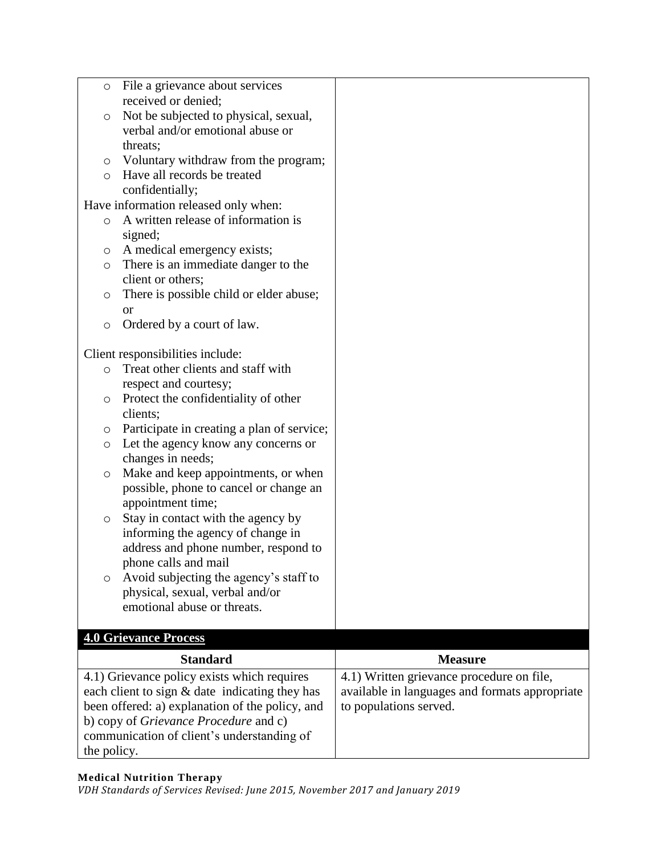| $\circ$                                          | File a grievance about services                                                            |                                                |
|--------------------------------------------------|--------------------------------------------------------------------------------------------|------------------------------------------------|
|                                                  | received or denied;                                                                        |                                                |
| $\circ$                                          | Not be subjected to physical, sexual,                                                      |                                                |
|                                                  | verbal and/or emotional abuse or                                                           |                                                |
|                                                  | threats;                                                                                   |                                                |
| $\circ$                                          | Voluntary withdraw from the program;                                                       |                                                |
| $\circ$                                          | Have all records be treated                                                                |                                                |
|                                                  | confidentially;<br>Have information released only when:                                    |                                                |
| $\circ$                                          | A written release of information is                                                        |                                                |
|                                                  | signed;                                                                                    |                                                |
| O                                                | A medical emergency exists;                                                                |                                                |
| $\circ$                                          | There is an immediate danger to the                                                        |                                                |
|                                                  | client or others;                                                                          |                                                |
| O                                                | There is possible child or elder abuse;                                                    |                                                |
|                                                  | <b>or</b>                                                                                  |                                                |
| $\circ$                                          | Ordered by a court of law.                                                                 |                                                |
|                                                  |                                                                                            |                                                |
|                                                  | Client responsibilities include:                                                           |                                                |
| $\circ$                                          | Treat other clients and staff with                                                         |                                                |
|                                                  | respect and courtesy;                                                                      |                                                |
| O                                                | Protect the confidentiality of other                                                       |                                                |
|                                                  | clients;                                                                                   |                                                |
| O                                                | Participate in creating a plan of service;                                                 |                                                |
| O                                                | Let the agency know any concerns or                                                        |                                                |
|                                                  | changes in needs;                                                                          |                                                |
| $\circ$                                          | Make and keep appointments, or when                                                        |                                                |
|                                                  | possible, phone to cancel or change an                                                     |                                                |
|                                                  | appointment time;                                                                          |                                                |
| $\circ$                                          | Stay in contact with the agency by                                                         |                                                |
|                                                  | informing the agency of change in                                                          |                                                |
|                                                  | address and phone number, respond to                                                       |                                                |
|                                                  | phone calls and mail                                                                       |                                                |
| O                                                | Avoid subjecting the agency's staff to                                                     |                                                |
|                                                  | physical, sexual, verbal and/or                                                            |                                                |
|                                                  | emotional abuse or threats.                                                                |                                                |
|                                                  | <b>4.0 Grievance Process</b>                                                               |                                                |
|                                                  | <b>Standard</b>                                                                            | <b>Measure</b>                                 |
|                                                  | 4.1) Grievance policy exists which requires                                                | 4.1) Written grievance procedure on file,      |
|                                                  |                                                                                            | available in languages and formats appropriate |
| each client to sign $&$ date indicating they has |                                                                                            |                                                |
|                                                  |                                                                                            |                                                |
|                                                  | been offered: a) explanation of the policy, and                                            | to populations served.                         |
|                                                  | b) copy of <i>Grievance Procedure</i> and c)<br>communication of client's understanding of |                                                |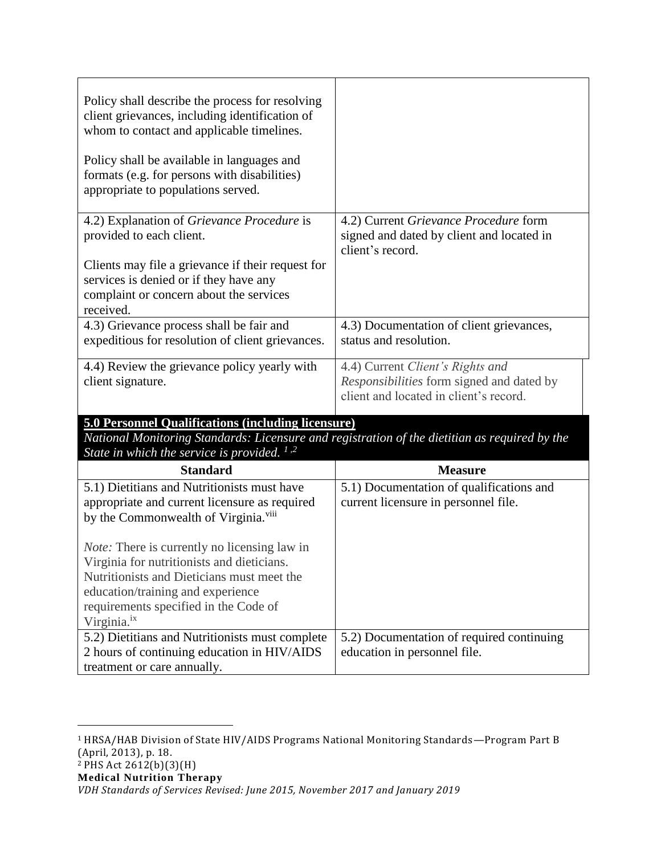| Policy shall describe the process for resolving<br>client grievances, including identification of<br>whom to contact and applicable timelines.<br>Policy shall be available in languages and<br>formats (e.g. for persons with disabilities)<br>appropriate to populations served. |                                                                                                                         |
|------------------------------------------------------------------------------------------------------------------------------------------------------------------------------------------------------------------------------------------------------------------------------------|-------------------------------------------------------------------------------------------------------------------------|
| 4.2) Explanation of Grievance Procedure is<br>provided to each client.<br>Clients may file a grievance if their request for<br>services is denied or if they have any<br>complaint or concern about the services<br>received.                                                      | 4.2) Current Grievance Procedure form<br>signed and dated by client and located in<br>client's record.                  |
| 4.3) Grievance process shall be fair and<br>expeditious for resolution of client grievances.                                                                                                                                                                                       | 4.3) Documentation of client grievances,<br>status and resolution.                                                      |
| 4.4) Review the grievance policy yearly with<br>client signature.                                                                                                                                                                                                                  | 4.4) Current Client's Rights and<br>Responsibilities form signed and dated by<br>client and located in client's record. |
| <b>5.0 Personnel Qualifications (including licensure)</b>                                                                                                                                                                                                                          |                                                                                                                         |
| National Monitoring Standards: Licensure and registration of the dietitian as required by the<br>State in which the service is provided. $1.2$                                                                                                                                     |                                                                                                                         |
| <b>Standard</b>                                                                                                                                                                                                                                                                    | <b>Measure</b>                                                                                                          |
| 5.1) Dietitians and Nutritionists must have<br>appropriate and current licensure as required<br>by the Commonwealth of Virginia. <sup>viii</sup>                                                                                                                                   | 5.1) Documentation of qualifications and<br>current licensure in personnel file.                                        |
| <i>Note:</i> There is currently no licensing law in<br>Virginia for nutritionists and dieticians.<br>Nutritionists and Dieticians must meet the<br>education/training and experience<br>requirements specified in the Code of<br>Virginia. <sup>ix</sup>                           |                                                                                                                         |
| 5.2) Dietitians and Nutritionists must complete<br>2 hours of continuing education in HIV/AIDS<br>treatment or care annually.                                                                                                                                                      | 5.2) Documentation of required continuing<br>education in personnel file.                                               |

 $\overline{a}$ 

<sup>1</sup> HRSA/HAB Division of State HIV/AIDS Programs National Monitoring Standards—Program Part B (April, 2013), p. 18.

*VDH Standards of Services Revised: June 2015, November 2017 and January 2019*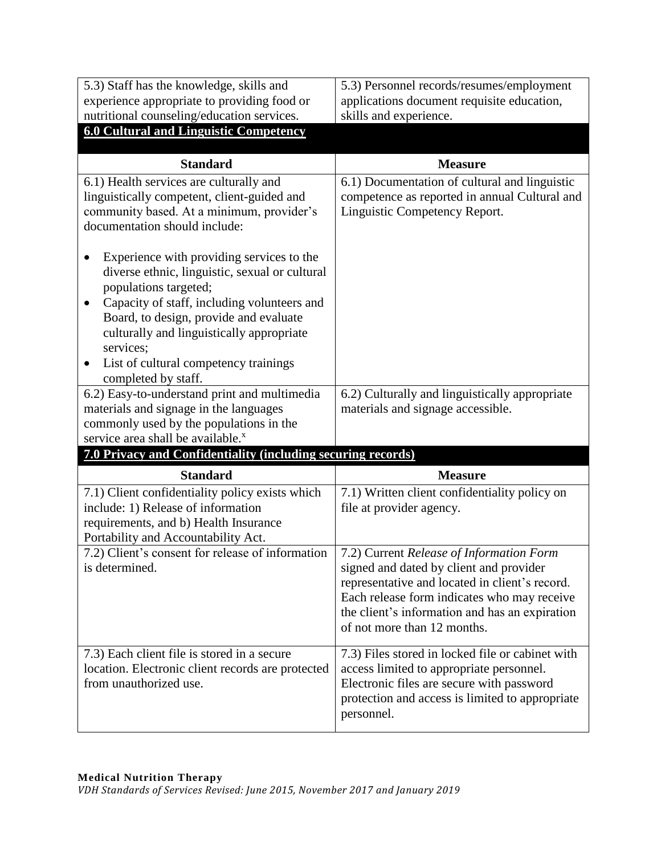| 5.3) Staff has the knowledge, skills and                                                                                                                                                                                                                                                                                                                                                                                                                                                                                                  | 5.3) Personnel records/resumes/employment                                                                                                                                                                                                                             |
|-------------------------------------------------------------------------------------------------------------------------------------------------------------------------------------------------------------------------------------------------------------------------------------------------------------------------------------------------------------------------------------------------------------------------------------------------------------------------------------------------------------------------------------------|-----------------------------------------------------------------------------------------------------------------------------------------------------------------------------------------------------------------------------------------------------------------------|
| experience appropriate to providing food or                                                                                                                                                                                                                                                                                                                                                                                                                                                                                               | applications document requisite education,                                                                                                                                                                                                                            |
| nutritional counseling/education services.                                                                                                                                                                                                                                                                                                                                                                                                                                                                                                | skills and experience.                                                                                                                                                                                                                                                |
| <b>6.0 Cultural and Linguistic Competency</b>                                                                                                                                                                                                                                                                                                                                                                                                                                                                                             |                                                                                                                                                                                                                                                                       |
|                                                                                                                                                                                                                                                                                                                                                                                                                                                                                                                                           |                                                                                                                                                                                                                                                                       |
| <b>Standard</b>                                                                                                                                                                                                                                                                                                                                                                                                                                                                                                                           | <b>Measure</b>                                                                                                                                                                                                                                                        |
| 6.1) Health services are culturally and<br>linguistically competent, client-guided and<br>community based. At a minimum, provider's<br>documentation should include:<br>Experience with providing services to the<br>diverse ethnic, linguistic, sexual or cultural<br>populations targeted;<br>Capacity of staff, including volunteers and<br>$\bullet$<br>Board, to design, provide and evaluate<br>culturally and linguistically appropriate<br>services;<br>List of cultural competency trainings<br>$\bullet$<br>completed by staff. | 6.1) Documentation of cultural and linguistic<br>competence as reported in annual Cultural and<br>Linguistic Competency Report.                                                                                                                                       |
| 6.2) Easy-to-understand print and multimedia<br>materials and signage in the languages<br>commonly used by the populations in the<br>service area shall be available. <sup>x</sup>                                                                                                                                                                                                                                                                                                                                                        | 6.2) Culturally and linguistically appropriate<br>materials and signage accessible.                                                                                                                                                                                   |
| 7.0 Privacy and Confidentiality (including securing records)                                                                                                                                                                                                                                                                                                                                                                                                                                                                              |                                                                                                                                                                                                                                                                       |
| <b>Standard</b>                                                                                                                                                                                                                                                                                                                                                                                                                                                                                                                           | <b>Measure</b>                                                                                                                                                                                                                                                        |
| 7.1) Client confidentiality policy exists which<br>include: 1) Release of information<br>requirements, and b) Health Insurance<br>Portability and Accountability Act.                                                                                                                                                                                                                                                                                                                                                                     | 7.1) Written client confidentiality policy on<br>file at provider agency.                                                                                                                                                                                             |
| 7.2) Client's consent for release of information<br>is determined.                                                                                                                                                                                                                                                                                                                                                                                                                                                                        | 7.2) Current Release of Information Form<br>signed and dated by client and provider<br>representative and located in client's record.<br>Each release form indicates who may receive<br>the client's information and has an expiration<br>of not more than 12 months. |
| 7.3) Each client file is stored in a secure<br>location. Electronic client records are protected<br>from unauthorized use.                                                                                                                                                                                                                                                                                                                                                                                                                | 7.3) Files stored in locked file or cabinet with<br>access limited to appropriate personnel.<br>Electronic files are secure with password<br>protection and access is limited to appropriate<br>personnel.                                                            |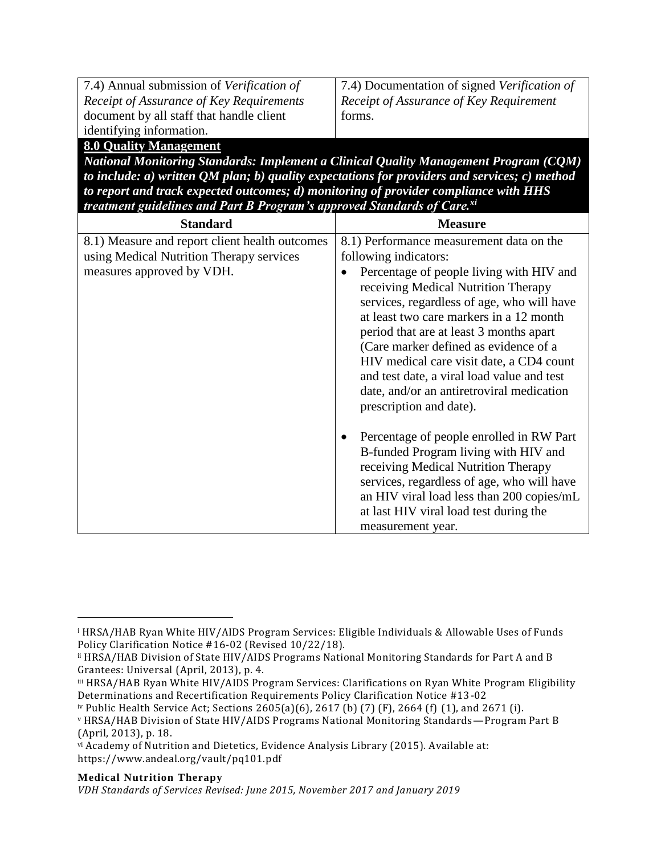7.4) Annual submission of *Verification of Receipt of Assurance of Key Requirements* document by all staff that handle client identifying information.

7.4) Documentation of signed *Verification of Receipt of Assurance of Key Requirement* forms.

# **8.0 Quality Management**

*National Monitoring Standards: Implement a Clinical Quality Management Program (CQM) to include: a) written QM plan; b) quality expectations for providers and services; c) method to report and track expected outcomes; d) monitoring of provider compliance with HHS treatment guidelines and Part B Program's approved Standards of Care.xi*

| <b>Standard</b>                                                                                                         | <b>Measure</b>                                                                                                                                                                                                                                                                                                                    |
|-------------------------------------------------------------------------------------------------------------------------|-----------------------------------------------------------------------------------------------------------------------------------------------------------------------------------------------------------------------------------------------------------------------------------------------------------------------------------|
| 8.1) Measure and report client health outcomes<br>using Medical Nutrition Therapy services<br>measures approved by VDH. | 8.1) Performance measurement data on the<br>following indicators:<br>Percentage of people living with HIV and<br>receiving Medical Nutrition Therapy<br>services, regardless of age, who will have<br>at least two care markers in a 12 month<br>period that are at least 3 months apart<br>(Care marker defined as evidence of a |
|                                                                                                                         | HIV medical care visit date, a CD4 count<br>and test date, a viral load value and test<br>date, and/or an antiretroviral medication<br>prescription and date).                                                                                                                                                                    |
|                                                                                                                         | Percentage of people enrolled in RW Part<br>B-funded Program living with HIV and<br>receiving Medical Nutrition Therapy<br>services, regardless of age, who will have<br>an HIV viral load less than 200 copies/mL<br>at last HIV viral load test during the<br>measurement year.                                                 |

#### **Medical Nutrition Therapy**

 $\overline{a}$ 

<sup>i</sup> HRSA/HAB Ryan White HIV/AIDS Program Services: Eligible Individuals & Allowable Uses of Funds Policy Clarification Notice #16-02 (Revised 10/22/18).

ii HRSA/HAB Division of State HIV/AIDS Programs National Monitoring Standards for Part A and B Grantees: Universal (April, 2013), p. 4.

iii HRSA/HAB Ryan White HIV/AIDS Program Services: Clarifications on Ryan White Program Eligibility Determinations and Recertification Requirements Policy Clarification Notice #13-02

iv Public Health Service Act; Sections 2605(a)(6), 2617 (b) (7) (F), 2664 (f) (1), and 2671 (i). <sup>v</sup> HRSA/HAB Division of State HIV/AIDS Programs National Monitoring Standards—Program Part B (April, 2013), p. 18.

vi Academy of Nutrition and Dietetics, Evidence Analysis Library (2015). Available at: https://www.andeal.org/vault/pq101.pdf